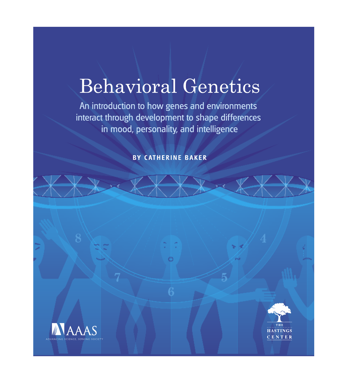# Behavioral Genetics

An introduction to how genes and environments interact through development to shape differences in mood, personality, and intelligence

**BY CATHERINE BAKER** 



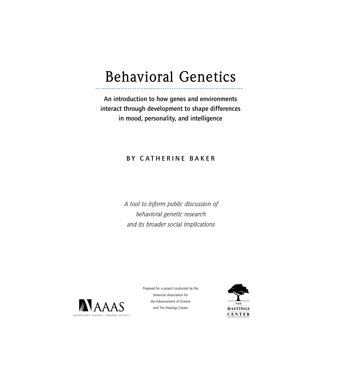## Behavioral Genetics

An introduction to how genes and environments interact through development to shape differences in mood, personality, and intelligence

### BY CATHERINE BAKER

*A tool to inform public discussion of behavioral genetic research and its broader social implications*



Prepared for a project conducted by the American Association for the Advancement of Science and The Hastings Center

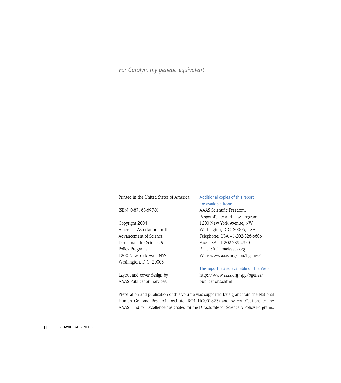### *For Carolyn, my genetic equivalent*

Printed in the United States of America

ISBN 0-87168-697-X

Copyright 2004 American Association for the Advancement of Science Directorate for Science & Policy Programs 1200 New York Ave., NW Washington, D.C. 20005

Layout and cover design by AAAS Publication Services.

Additional copies of this report are available from:

AAAS Scientific Freedom, Responsibility and Law Program 1200 New York Avenue, NW Washington, D.C. 20005, USA Telephone: USA +1-202-326-6606 Fax: USA +1-202-289-4950 E-mail: kallema@aaas.org Web: www.aaas.org/spp/bgenes/

This report is also available on the Web: http://www.aaas.org/spp/bgenes/ publications.shtml

Preparation and publication of this volume was supported by a grant from the National Human Genome Research Institute (RO1 HG001873) and by contributions to the AAAS Fund for Excellence designated for the Directorate for Science & Policy Porgrams.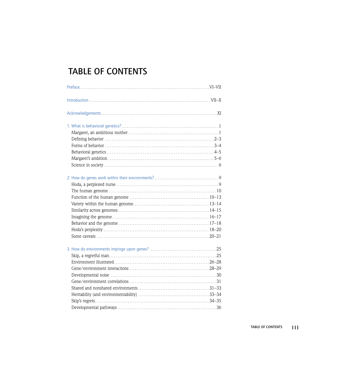### **TABLE OF CONTENTS**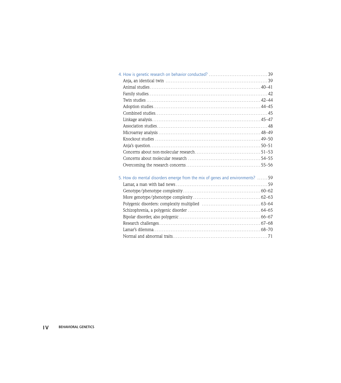| 5. How do mental disorders emerge from the mix of genes and environments? 59 |  |
|------------------------------------------------------------------------------|--|
|                                                                              |  |
|                                                                              |  |
|                                                                              |  |
|                                                                              |  |
|                                                                              |  |
|                                                                              |  |
|                                                                              |  |
|                                                                              |  |

Normal and abnormal traits. . . . . . . . . . . . . . . . . . . . . . . . . . . . . . . . . . . . . . . . . . . . . . . . . . . . . . . 71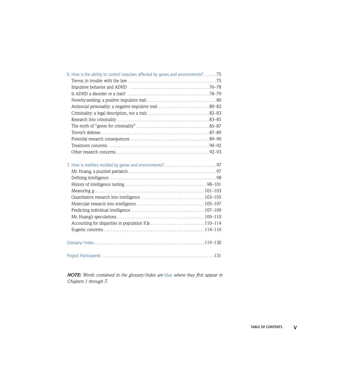| 6. How is the ability to control impulses affected by genes and environments? 75 |  |
|----------------------------------------------------------------------------------|--|
|                                                                                  |  |
|                                                                                  |  |
|                                                                                  |  |
|                                                                                  |  |
|                                                                                  |  |
|                                                                                  |  |
|                                                                                  |  |
|                                                                                  |  |
|                                                                                  |  |
|                                                                                  |  |
|                                                                                  |  |
|                                                                                  |  |
|                                                                                  |  |
|                                                                                  |  |
|                                                                                  |  |
|                                                                                  |  |
|                                                                                  |  |
|                                                                                  |  |
|                                                                                  |  |
|                                                                                  |  |
|                                                                                  |  |
|                                                                                  |  |
|                                                                                  |  |
|                                                                                  |  |
|                                                                                  |  |

*NOTE: Words contained in the glossary/index are* blue *where they first appear in Chapters 1 through 7.*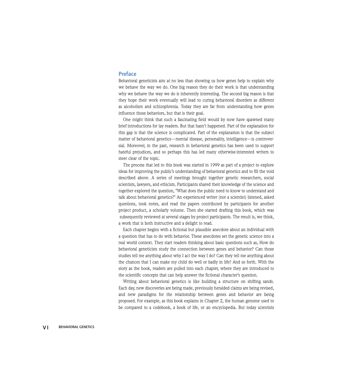### Preface

Behavioral geneticists aim at no less than showing us how genes help to explain why we behave the way we do. One big reason they do their work is that understanding why we behave the way we do is inherently interesting. The second big reason is that they hope their work eventually will lead to curing behavioral disorders as different as alcoholism and schizophrenia. Today they are far from understanding how genes influence those behaviors, but that is their goal.

One might think that such a fascinating field would by now have spawned many brief introductions for lay readers. But that hasn't happened. Part of the explanation for this gap is that the science is complicated. Part of the explanation is that the subject matter of behavioral genetics—mental disease, personality, intelligence—is controversial. Moreover, in the past, research in behavioral genetics has been used to support hateful prejudices, and so perhaps this has led many otherwise-interested writers to steer clear of the topic.

The process that led to this book was started in 1999 as part of a project to explore ideas for improving the public's understanding of behavioral genetics and to fill the void described above. A series of meetings brought together genetic researchers, social scientists, lawyers, and ethicists. Participants shared their knowledge of the science and together explored the question, "What does the public need to know to understand and talk about behavioral genetics?" An experienced writer (not a scientist) listened, asked questions, took notes, and read the papers contributed by participants for another project product, a scholarly volume. Then she started drafting this book, which was subsequently reviewed at several stages by project participants. The result is, we think, a work that is both instructive and a delight to read.

Each chapter begins with a fictional but plausible anecdote about an individual with a question that has to do with behavior. These anecdotes set the genetic science into a real world context. They start readers thinking about basic questions such as, How do behavioral geneticists study the connection between genes and behavior? Can those studies tell me anything about why I act the way I do? Can they tell me anything about the chances that I can make my child do well or badly in life? And so forth. With the story as the hook, readers are pulled into each chapter, where they are introduced to the scientific concepts that can help answer the fictional character's question.

Writing about behavioral genetics is like building a structure on shifting sands. Each day, new discoveries are being made, previously heralded claims are being revised, and new paradigms for the relationship between genes and behavior are being proposed. For example, as this book explains in Chapter 2, the human genome used to be compared to a codebook, a book of life, or an encyclopedia. But today scientists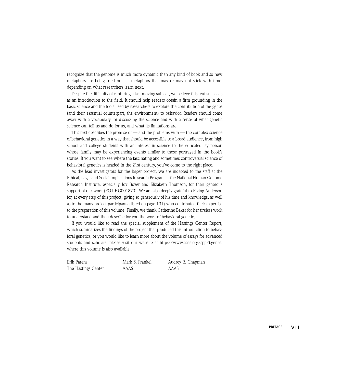recognize that the genome is much more dynamic than any kind of book and so new metaphors are being tried out — metaphors that may or may not stick with time, depending on what researchers learn next.

Despite the difficulty of capturing a fast-moving subject, we believe this text succeeds as an introduction to the field. It should help readers obtain a firm grounding in the basic science and the tools used by researchers to explore the contribution of the genes (and their essential counterpart, the environment) to behavior. Readers should come away with a vocabulary for discussing the science and with a sense of what genetic science can tell us and do for us, and what its limitations are.

This text describes the promise of — and the problems with — the complex science of behavioral genetics in a way that should be accessible to a broad audience, from high school and college students with an interest in science to the educated lay person whose family may be experiencing events similar to those portrayed in the book's stories. If you want to see where the fascinating and sometimes controversial science of behavioral genetics is headed in the 21st century, you've come to the right place.

As the lead investigators for the larger project, we are indebted to the staff at the Ethical, Legal and Social Implications Research Program at the National Human Genome Research Institute, especially Joy Boyer and Elizabeth Thomson, for their generous support of our work (RO1 HG001873). We are also deeply grateful to Elving Anderson for, at every step of this project, giving so generously of his time and knowledge, as well as to the many project participants (listed on page 131) who contributed their expertise to the preparation of this volume. Finally, we thank Catherine Baker for her tireless work to understand and then describe for you the work of behavioral genetics.

If you would like to read the special supplement of the Hastings Center Report, which summarizes the findings of the project that produced this introduction to behavioral genetics, or you would like to learn more about the volume of essays for advanced students and scholars, please visit our website at http://www.aaas.org/spp/bgenes, where this volume is also available.

The Hastings Center **AAAS** AAAS

Erik Parens **Mark S. Frankel** Audrey R. Chapman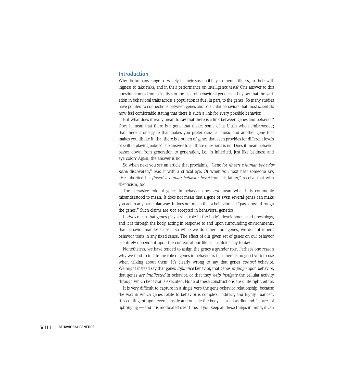### Introduction

Why do humans range so widely in their susceptibility to mental illness, in their willingness to take risks, and in their performance on intelligence tests? One answer to this question comes from scientists in the field of behavioral genetics. They say that the variation in behavioral traits across a population is due, in part, to the genes. So many studies have pointed to connections between genes and particular behaviors that most scientists now feel comfortable stating that there is such a link for every possible behavior.

But what does it really mean to say that there is a link between genes and behavior? Does it mean that there is a gene that makes some of us blush when embarrassed; that there is one gene that makes you prefer classical music and another gene that makes you dislike it; that there is a bunch of genes that each provides for different levels of skill in playing poker? The answer to all these questions is no. Does it mean behavior passes down from generation to generation, i.e., is inherited, just like baldness and eye color? Again, the answer is no.

So when next you see an article that proclaims, "Gene for *[insert a human behavior here]* discovered," read it with a critical eye. Or when you next hear someone say, "He inherited his *[insert a human behavior here]* from his father," receive that with skepticism, too.

The pervasive role of genes in behavior does *not* mean what it is commonly misunderstood to mean. It does not mean that a gene or even several genes can make you act in any particular way. It does not mean that a behavior can "pass down through the genes." Such claims are *not* accepted in behavioral genetics.

It *does* mean that genes play a vital role in the body's development and physiology, and it is through the body, acting in response to and upon surrounding environments, that behavior manifests itself. So while we do inherit our genes, we do not inherit behavior traits in any fixed sense. The effect of our given set of genes on our behavior is entirely dependent upon the context of our life as it unfolds day to day.

Nonetheless, we have tended to assign the genes a grander role. Perhaps one reason why we tend to inflate the role of genes in behavior is that there is no good verb to use when talking about them. It's clearly wrong to say that genes *control* behavior. We might instead say that genes *influence* behavior, that genes *impinge* upon behavior, that genes *are implicated* in behavior, or that they *help instigate* the cellular activity through which behavior is executed. None of these constructions are quite right, either.

It is very difficult to capture in a single verb the gene-behavior relationship, because the way in which genes relate to behavior is complex, indirect, and highly nuanced. It is contingent upon events inside and outside the body — such as diet and features of upbringing — and it is modulated over time. If you keep all these things in mind, it can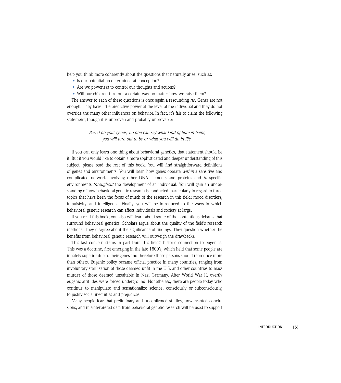help you think more coherently about the questions that naturally arise, such as:

- Is our potential predetermined at conception?
- Are we powerless to control our thoughts and actions?
- Will our children turn out a certain way no matter how we raise them?

The answer to each of these questions is once again a resounding *no*. Genes are not enough. They have little predictive power at the level of the individual and they do not override the many other influences on behavior. In fact, it's fair to claim the following statement, though it is unproven and probably unprovable:

#### *Based on your genes, no one can say what kind of human being you will turn out to be or what you will do in life.*

If you can only learn one thing about behavioral genetics, that statement should be it. But if you would like to obtain a more sophisticated and deeper understanding of this subject, please read the rest of this book. You will find straightforward definitions of genes and environments. You will learn how genes operate *within* a sensitive and complicated network involving other DNA elements and proteins and *in* specific environments *throughout* the development of an individual. You will gain an understanding of how behavioral genetic research is conducted, particularly in regard to three topics that have been the focus of much of the research in this field: mood disorders, impulsivity, and intelligence. Finally, you will be introduced to the ways in which behavioral genetic research can affect individuals and society at large.

If you read this book, you also will learn about some of the contentious debates that surround behavioral genetics. Scholars argue about the quality of the field's research methods. They disagree about the significance of findings. They question whether the benefits from behavioral genetic research will outweigh the drawbacks.

This last concern stems in part from this field's historic connection to eugenics. This was a doctrine, first emerging in the late 1800's, which held that some people are innately superior due to their genes and therefore those persons should reproduce more than others. Eugenic policy became official practice in many countries, ranging from involuntary sterilization of those deemed unfit in the U.S. and other countries to mass murder of those deemed unsuitable in Nazi Germany. After World War II, overtly eugenic attitudes were forced underground. Nonetheless, there are people today who continue to manipulate and sensationalize science, consciously or subconsciously, to justify social inequities and prejudices.

Many people fear that preliminary and unconfirmed studies, unwarranted conclusions, and misinterpreted data from behavioral genetic research will be used to support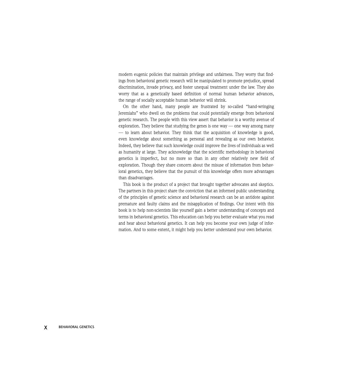modern eugenic policies that maintain privilege and unfairness. They worry that findings from behavioral genetic research will be manipulated to promote prejudice, spread discrimination, invade privacy, and foster unequal treatment under the law. They also worry that as a genetically based definition of normal human behavior advances, the range of socially acceptable human behavior will shrink.

On the other hand, many people are frustrated by so-called "hand-wringing Jeremiahs" who dwell on the problems that could potentially emerge from behavioral genetic research. The people with this view assert that behavior is a worthy avenue of exploration. They believe that studying the genes is one way — one way among many — to learn about behavior. They think that the acquisition of knowledge is good, even knowledge about something as personal and revealing as our own behavior. Indeed, they believe that such knowledge could improve the lives of individuals as well as humanity at large. They acknowledge that the scientific methodology in behavioral genetics is imperfect, but no more so than in any other relatively new field of exploration. Though they share concern about the misuse of information from behavioral genetics, they believe that the pursuit of this knowledge offers more advantages than disadvantages.

This book is the product of a project that brought together advocates and skeptics. The partners in this project share the conviction that an informed public understanding of the principles of genetic science and behavioral research can be an antidote against premature and faulty claims and the misapplication of findings. Our intent with this book is to help non-scientists like yourself gain a better understanding of concepts and terms in behavioral genetics. This education can help you better evaluate what you read and hear about behavioral genetics. It can help you become your own judge of information. And to some extent, it might help you better understand your own behavior.